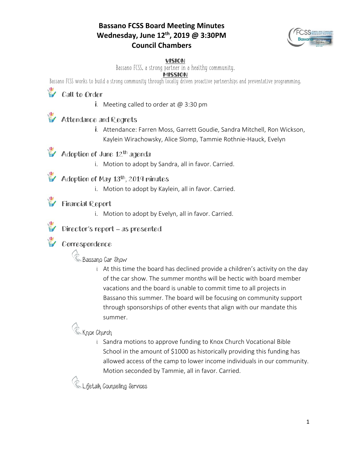#### **Bassano FCSS Board Meeting Minutes Wednesday, June 12th, 2019 @ 3:30PM Council Chambers**



#### VISION

Bassano FCSS, a strong partner in a healthy community.

#### **MISSION**

Bassano FCSS works to build a strong community through locally driven proactive partnerships and preventative programming.

# **Call to Order**

i. Meeting called to order at  $@3:30 \text{ pm}$ 

### **Attendance and Regrets**

i. Attendance: Farren Moss, Garrett Goudie, Sandra Mitchell, Ron Wickson, Kaylein Wirachowsky, Alice Slomp, Tammie Rothnie-Hauck, Evelyn

### Adoption of June 12<sup>th</sup> agenda

i. Motion to adopt by Sandra, all in favor. Carried.

#### $\blacktriangleright$  Adoption of May 13<sup>th</sup>, 2019 minutes

i. Motion to adopt by Kaylein, all in favor. Carried.

### Financial Report

i. Motion to adopt by Evelyn, all in favor. Carried.



### Director's report – as presented

### Correspondence

## **C** Bassano Car Show

i. At this time the board has declined provide a children's activity on the day of the car show. The summer months will be hectic with board member vacations and the board is unable to commit time to all projects in Bassano this summer. The board will be focusing on community support through sponsorships of other events that align with our mandate this summer.

### **C** Knox Church

i. Sandra motions to approve funding to Knox Church Vocational Bible School in the amount of \$1000 as historically providing this funding has allowed access of the camp to lower income individuals in our community. Motion seconded by Tammie, all in favor. Carried.

**C** Lifetalk Counselling Services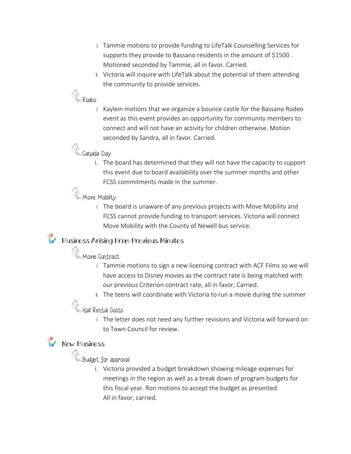- i. Tammie motions to provide funding to LifeTalk Counselling Services for supports they provide to Bassano residents in the amount of \$1500 . Motioned seconded by Tammie, all in favor. Carried.
- ii. Victoria will inquire with LifeTalk about the potential of them attending the community to provide services.

# Ce Rodeo

i. Kaylein motions that we organize a bounce castle for the Bassano Rodeo event as this event provides an opportunity for community members to connect and will not have an activity for children otherwise. Motion seconded by Sandra, all in favor. Carried.

### **C**Ganada Day

i. The board has determined that they will not have the capacity to support this event due to board availability over the summer months and other FCSS commitments made in the summer.

### **C** Move Mobility

i. The board is unaware of any previous projects with Move Mobility and FCSS cannot provide funding to transport services. Victoria will connect Move Mobility with the County of Newell bus service.

## Business Arising From Previous Minutes

# **C** Movie Contract

- i. Tammie motions to sign a new licensing contract with ACF Films so we will have access to Disney movies as the contract rate is being matched with our previous Criterion contract rate, all in favor, Carried.
- ii. The teens will coordinate with Victoria to run a movie during the summer

# **Co** Hall Rental Gosts

i. The letter does not need any further revisions and Victoria will forward on to Town Council for review.

# **W** New Business

**C**Budget for approval

i. Victoria provided a budget breakdown showing mileage expenses for meetings in the region as well as a break down of program budgets for this fiscal year. Ron motions to accept the budget as presented. All in favor, carried.